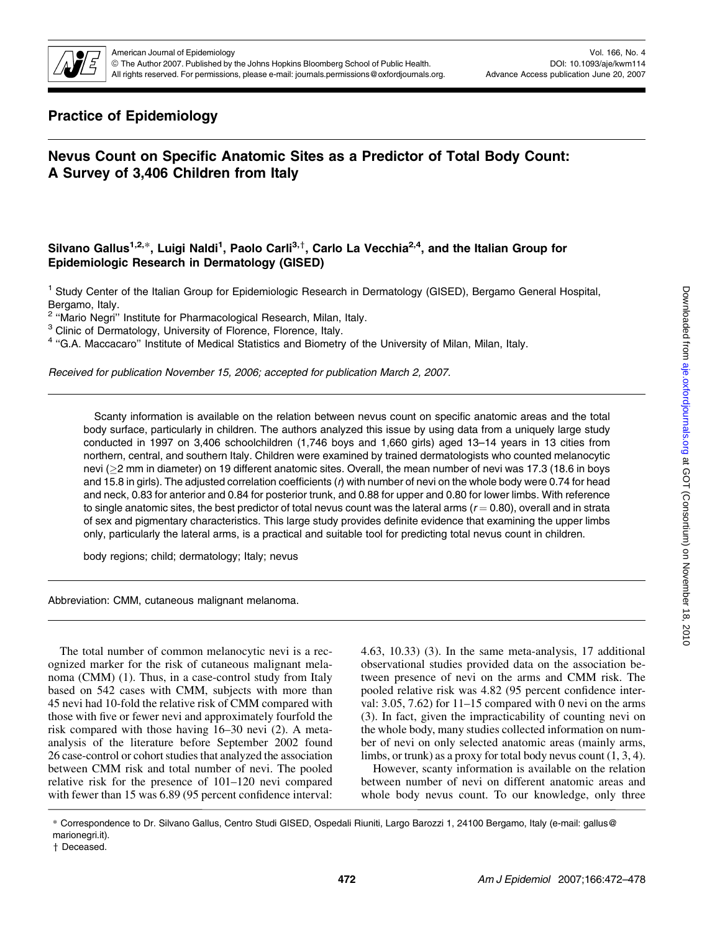

# Practice of Epidemiology

# Nevus Count on Specific Anatomic Sites as a Predictor of Total Body Count: A Survey of 3,406 Children from Italy

# Silvano Gallus<sup>1,2,</sup>\*, Luigi Naldi<sup>1</sup>, Paolo Carli<sup>3,†</sup>, Carlo La Vecchia<sup>2,4</sup>, and the Italian Group for Epidemiologic Research in Dermatology (GISED)

<sup>1</sup> Study Center of the Italian Group for Epidemiologic Research in Dermatology (GISED), Bergamo General Hospital, Bergamo, Italy.

<sup>2</sup> "Mario Negri" Institute for Pharmacological Research, Milan, Italy.

<sup>3</sup> Clinic of Dermatology, University of Florence, Florence, Italy.

<sup>4</sup> ''G.A. Maccacaro'' Institute of Medical Statistics and Biometry of the University of Milan, Milan, Italy.

Received for publication November 15, 2006; accepted for publication March 2, 2007.

Scanty information is available on the relation between nevus count on specific anatomic areas and the total body surface, particularly in children. The authors analyzed this issue by using data from a uniquely large study conducted in 1997 on 3,406 schoolchildren (1,746 boys and 1,660 girls) aged 13–14 years in 13 cities from northern, central, and southern Italy. Children were examined by trained dermatologists who counted melanocytic nevi (2 mm in diameter) on 19 different anatomic sites. Overall, the mean number of nevi was 17.3 (18.6 in boys and 15.8 in girls). The adjusted correlation coefficients ( $r$ ) with number of nevi on the whole body were 0.74 for head and neck, 0.83 for anterior and 0.84 for posterior trunk, and 0.88 for upper and 0.80 for lower limbs. With reference to single anatomic sites, the best predictor of total nevus count was the lateral arms ( $r = 0.80$ ), overall and in strata of sex and pigmentary characteristics. This large study provides definite evidence that examining the upper limbs only, particularly the lateral arms, is a practical and suitable tool for predicting total nevus count in children.

body regions; child; dermatology; Italy; nevus

Abbreviation: CMM, cutaneous malignant melanoma.

The total number of common melanocytic nevi is a recognized marker for the risk of cutaneous malignant melanoma (CMM) (1). Thus, in a case-control study from Italy based on 542 cases with CMM, subjects with more than 45 nevi had 10-fold the relative risk of CMM compared with those with five or fewer nevi and approximately fourfold the risk compared with those having 16–30 nevi (2). A metaanalysis of the literature before September 2002 found 26 case-control or cohort studies that analyzed the association between CMM risk and total number of nevi. The pooled relative risk for the presence of 101–120 nevi compared with fewer than 15 was 6.89 (95 percent confidence interval: 4.63, 10.33) (3). In the same meta-analysis, 17 additional observational studies provided data on the association between presence of nevi on the arms and CMM risk. The pooled relative risk was 4.82 (95 percent confidence interval: 3.05, 7.62) for  $11-15$  compared with 0 nevi on the arms (3). In fact, given the impracticability of counting nevi on the whole body, many studies collected information on number of nevi on only selected anatomic areas (mainly arms, limbs, or trunk) as a proxy for total body nevus count (1, 3, 4).

However, scanty information is available on the relation between number of nevi on different anatomic areas and whole body nevus count. To our knowledge, only three

<sup>\*</sup> Correspondence to Dr. Silvano Gallus, Centro Studi GISED, Ospedali Riuniti, Largo Barozzi 1, 24100 Bergamo, Italy (e-mail: gallus@ marionegri.it).

<sup>+</sup> Deceased.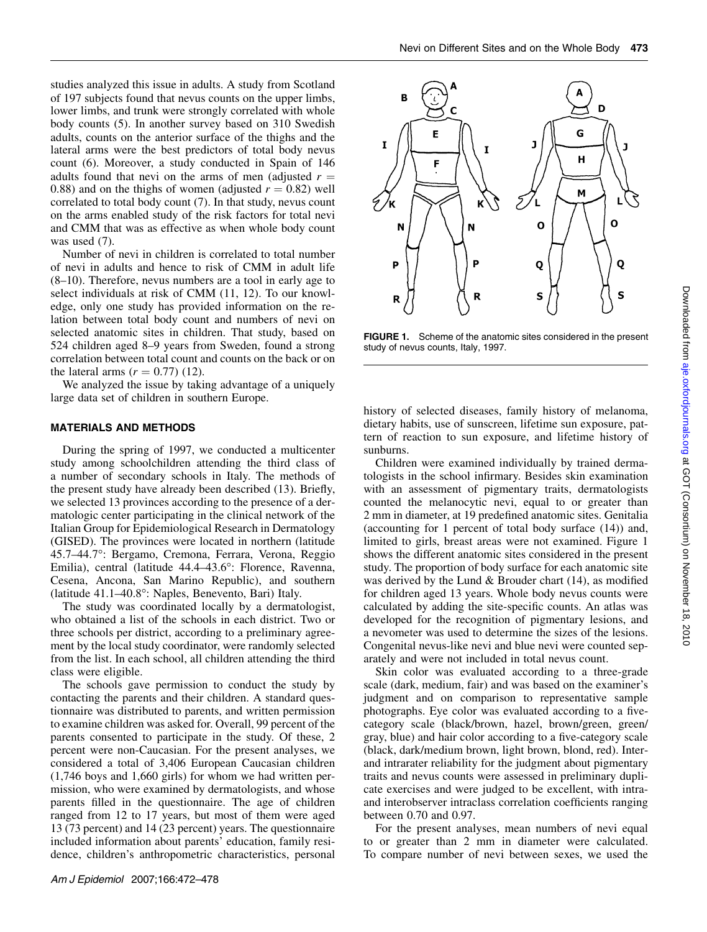studies analyzed this issue in adults. A study from Scotland of 197 subjects found that nevus counts on the upper limbs, lower limbs, and trunk were strongly correlated with whole body counts (5). In another survey based on 310 Swedish adults, counts on the anterior surface of the thighs and the lateral arms were the best predictors of total body nevus count (6). Moreover, a study conducted in Spain of 146 adults found that nevi on the arms of men (adjusted  $r =$ 0.88) and on the thighs of women (adjusted  $r = 0.82$ ) well correlated to total body count (7). In that study, nevus count on the arms enabled study of the risk factors for total nevi and CMM that was as effective as when whole body count was used  $(7)$ .

Number of nevi in children is correlated to total number of nevi in adults and hence to risk of CMM in adult life (8–10). Therefore, nevus numbers are a tool in early age to select individuals at risk of CMM (11, 12). To our knowledge, only one study has provided information on the relation between total body count and numbers of nevi on selected anatomic sites in children. That study, based on 524 children aged 8–9 years from Sweden, found a strong correlation between total count and counts on the back or on the lateral arms  $(r = 0.77)$  (12).

We analyzed the issue by taking advantage of a uniquely large data set of children in southern Europe.

## MATERIALS AND METHODS

During the spring of 1997, we conducted a multicenter study among schoolchildren attending the third class of a number of secondary schools in Italy. The methods of the present study have already been described (13). Briefly, we selected 13 provinces according to the presence of a dermatologic center participating in the clinical network of the Italian Group for Epidemiological Research in Dermatology (GISED). The provinces were located in northern (latitude 45.7–44.7°: Bergamo, Cremona, Ferrara, Verona, Reggio Emilia), central (latitude 44.4–43.6°: Florence, Ravenna, Cesena, Ancona, San Marino Republic), and southern (latitude 41.1–40.8°: Naples, Benevento, Bari) Italy.

The study was coordinated locally by a dermatologist, who obtained a list of the schools in each district. Two or three schools per district, according to a preliminary agreement by the local study coordinator, were randomly selected from the list. In each school, all children attending the third class were eligible.

The schools gave permission to conduct the study by contacting the parents and their children. A standard questionnaire was distributed to parents, and written permission to examine children was asked for. Overall, 99 percent of the parents consented to participate in the study. Of these, 2 percent were non-Caucasian. For the present analyses, we considered a total of 3,406 European Caucasian children (1,746 boys and 1,660 girls) for whom we had written permission, who were examined by dermatologists, and whose parents filled in the questionnaire. The age of children ranged from 12 to 17 years, but most of them were aged 13 (73 percent) and 14 (23 percent) years. The questionnaire included information about parents' education, family residence, children's anthropometric characteristics, personal



FIGURE 1. Scheme of the anatomic sites considered in the present study of nevus counts, Italy, 1997.

history of selected diseases, family history of melanoma, dietary habits, use of sunscreen, lifetime sun exposure, pattern of reaction to sun exposure, and lifetime history of sunburns.

Children were examined individually by trained dermatologists in the school infirmary. Besides skin examination with an assessment of pigmentary traits, dermatologists counted the melanocytic nevi, equal to or greater than 2 mm in diameter, at 19 predefined anatomic sites. Genitalia (accounting for 1 percent of total body surface (14)) and, limited to girls, breast areas were not examined. Figure 1 shows the different anatomic sites considered in the present study. The proportion of body surface for each anatomic site was derived by the Lund & Brouder chart (14), as modified for children aged 13 years. Whole body nevus counts were calculated by adding the site-specific counts. An atlas was developed for the recognition of pigmentary lesions, and a nevometer was used to determine the sizes of the lesions. Congenital nevus-like nevi and blue nevi were counted separately and were not included in total nevus count.

Skin color was evaluated according to a three-grade scale (dark, medium, fair) and was based on the examiner's judgment and on comparison to representative sample photographs. Eye color was evaluated according to a fivecategory scale (black/brown, hazel, brown/green, green/ gray, blue) and hair color according to a five-category scale (black, dark/medium brown, light brown, blond, red). Interand intrarater reliability for the judgment about pigmentary traits and nevus counts were assessed in preliminary duplicate exercises and were judged to be excellent, with intraand interobserver intraclass correlation coefficients ranging between 0.70 and 0.97.

For the present analyses, mean numbers of nevi equal to or greater than 2 mm in diameter were calculated. To compare number of nevi between sexes, we used the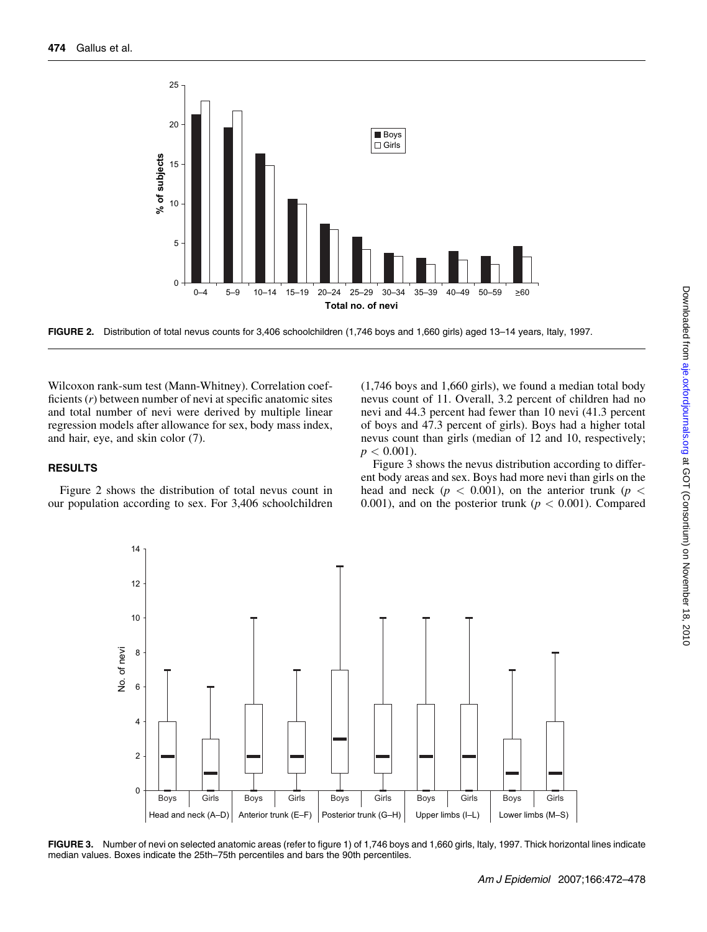

FIGURE 2. Distribution of total nevus counts for 3,406 schoolchildren (1,746 boys and 1,660 girls) aged 13–14 years, Italy, 1997.

Wilcoxon rank-sum test (Mann-Whitney). Correlation coefficients  $(r)$  between number of nevi at specific anatomic sites and total number of nevi were derived by multiple linear regression models after allowance for sex, body mass index, and hair, eye, and skin color (7).

#### RESULTS

Figure 2 shows the distribution of total nevus count in our population according to sex. For 3,406 schoolchildren

(1,746 boys and 1,660 girls), we found a median total body nevus count of 11. Overall, 3.2 percent of children had no nevi and 44.3 percent had fewer than 10 nevi (41.3 percent of boys and 47.3 percent of girls). Boys had a higher total nevus count than girls (median of 12 and 10, respectively;  $p < 0.001$ ).

Figure 3 shows the nevus distribution according to different body areas and sex. Boys had more nevi than girls on the head and neck ( $p < 0.001$ ), on the anterior trunk ( $p <$ 0.001), and on the posterior trunk ( $p < 0.001$ ). Compared



FIGURE 3. Number of nevi on selected anatomic areas (refer to figure 1) of 1,746 boys and 1,660 girls, Italy, 1997. Thick horizontal lines indicate median values. Boxes indicate the 25th–75th percentiles and bars the 90th percentiles.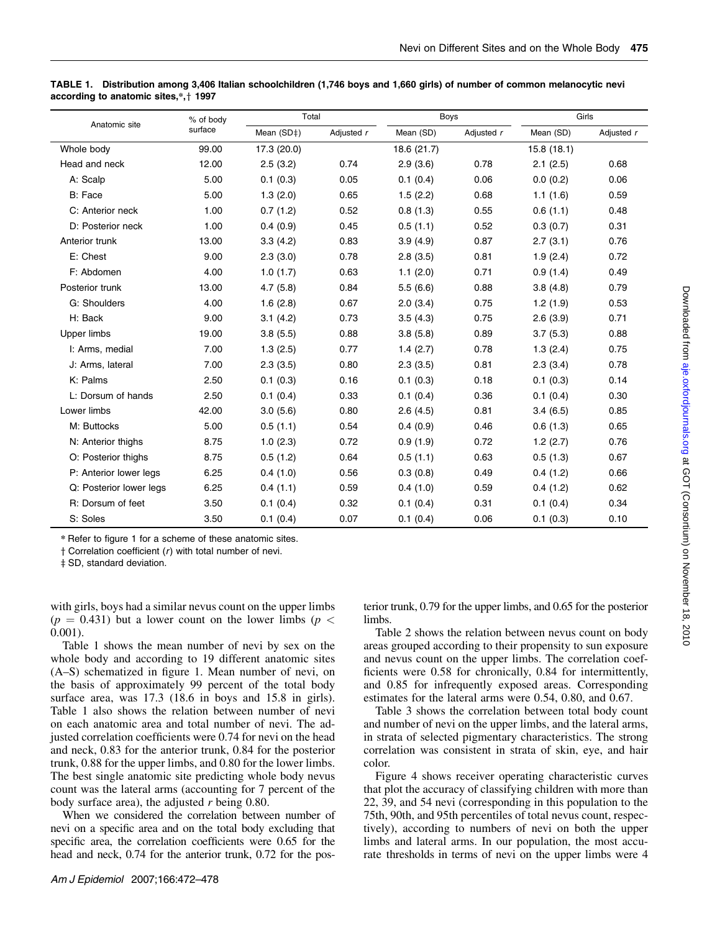| Anatomic site           | % of body | Total       |            | <b>Boys</b> |            | Girls      |            |
|-------------------------|-----------|-------------|------------|-------------|------------|------------|------------|
|                         | surface   | Mean (SD‡)  | Adjusted r | Mean (SD)   | Adjusted r | Mean (SD)  | Adjusted r |
| Whole body              | 99.00     | 17.3 (20.0) |            | 18.6 (21.7) |            | 15.8(18.1) |            |
| Head and neck           | 12.00     | 2.5(3.2)    | 0.74       | 2.9(3.6)    | 0.78       | 2.1(2.5)   | 0.68       |
| A: Scalp                | 5.00      | 0.1(0.3)    | 0.05       | 0.1(0.4)    | 0.06       | 0.0(0.2)   | 0.06       |
| B: Face                 | 5.00      | 1.3(2.0)    | 0.65       | 1.5(2.2)    | 0.68       | 1.1(1.6)   | 0.59       |
| C: Anterior neck        | 1.00      | 0.7(1.2)    | 0.52       | 0.8(1.3)    | 0.55       | 0.6(1.1)   | 0.48       |
| D: Posterior neck       | 1.00      | 0.4(0.9)    | 0.45       | 0.5(1.1)    | 0.52       | 0.3(0.7)   | 0.31       |
| Anterior trunk          | 13.00     | 3.3(4.2)    | 0.83       | 3.9(4.9)    | 0.87       | 2.7(3.1)   | 0.76       |
| E: Chest                | 9.00      | 2.3(3.0)    | 0.78       | 2.8(3.5)    | 0.81       | 1.9(2.4)   | 0.72       |
| F: Abdomen              | 4.00      | 1.0(1.7)    | 0.63       | 1.1(2.0)    | 0.71       | 0.9(1.4)   | 0.49       |
| Posterior trunk         | 13.00     | 4.7(5.8)    | 0.84       | 5.5(6.6)    | 0.88       | 3.8(4.8)   | 0.79       |
| G: Shoulders            | 4.00      | 1.6(2.8)    | 0.67       | 2.0(3.4)    | 0.75       | 1.2(1.9)   | 0.53       |
| H: Back                 | 9.00      | 3.1(4.2)    | 0.73       | 3.5(4.3)    | 0.75       | 2.6(3.9)   | 0.71       |
| Upper limbs             | 19.00     | 3.8(5.5)    | 0.88       | 3.8(5.8)    | 0.89       | 3.7(5.3)   | 0.88       |
| I: Arms, medial         | 7.00      | 1.3(2.5)    | 0.77       | 1.4(2.7)    | 0.78       | 1.3(2.4)   | 0.75       |
| J: Arms, lateral        | 7.00      | 2.3(3.5)    | 0.80       | 2.3(3.5)    | 0.81       | 2.3(3.4)   | 0.78       |
| K: Palms                | 2.50      | 0.1(0.3)    | 0.16       | 0.1(0.3)    | 0.18       | 0.1(0.3)   | 0.14       |
| L: Dorsum of hands      | 2.50      | 0.1(0.4)    | 0.33       | 0.1(0.4)    | 0.36       | 0.1(0.4)   | 0.30       |
| Lower limbs             | 42.00     | 3.0(5.6)    | 0.80       | 2.6(4.5)    | 0.81       | 3.4(6.5)   | 0.85       |
| M: Buttocks             | 5.00      | 0.5(1.1)    | 0.54       | 0.4(0.9)    | 0.46       | 0.6(1.3)   | 0.65       |
| N: Anterior thighs      | 8.75      | 1.0(2.3)    | 0.72       | 0.9(1.9)    | 0.72       | 1.2(2.7)   | 0.76       |
| O: Posterior thighs     | 8.75      | 0.5(1.2)    | 0.64       | 0.5(1.1)    | 0.63       | 0.5(1.3)   | 0.67       |
| P: Anterior lower legs  | 6.25      | 0.4(1.0)    | 0.56       | 0.3(0.8)    | 0.49       | 0.4(1.2)   | 0.66       |
| Q: Posterior lower legs | 6.25      | 0.4(1.1)    | 0.59       | 0.4(1.0)    | 0.59       | 0.4(1.2)   | 0.62       |
| R: Dorsum of feet       | 3.50      | 0.1(0.4)    | 0.32       | 0.1(0.4)    | 0.31       | 0.1(0.4)   | 0.34       |
| S: Soles                | 3.50      | 0.1(0.4)    | 0.07       | 0.1(0.4)    | 0.06       | 0.1(0.3)   | 0.10       |

TABLE 1. Distribution among 3,406 Italian schoolchildren (1,746 boys and 1,660 girls) of number of common melanocytic nevi according to anatomic sites, $*,+$  1997

\* Refer to figure 1 for a scheme of these anatomic sites.

 $\dagger$  Correlation coefficient ( $r$ ) with total number of nevi.

 $\ddagger$  SD, standard deviation.

with girls, boys had a similar nevus count on the upper limbs  $(p = 0.431)$  but a lower count on the lower limbs ( $p <$ 0.001).

Table 1 shows the mean number of nevi by sex on the whole body and according to 19 different anatomic sites (A–S) schematized in figure 1. Mean number of nevi, on the basis of approximately 99 percent of the total body surface area, was 17.3 (18.6 in boys and 15.8 in girls). Table 1 also shows the relation between number of nevi on each anatomic area and total number of nevi. The adjusted correlation coefficients were 0.74 for nevi on the head and neck, 0.83 for the anterior trunk, 0.84 for the posterior trunk, 0.88 for the upper limbs, and 0.80 for the lower limbs. The best single anatomic site predicting whole body nevus count was the lateral arms (accounting for 7 percent of the body surface area), the adjusted  $r$  being 0.80.

When we considered the correlation between number of nevi on a specific area and on the total body excluding that specific area, the correlation coefficients were 0.65 for the head and neck, 0.74 for the anterior trunk, 0.72 for the posterior trunk, 0.79 for the upper limbs, and 0.65 for the posterior limbs.

Table 2 shows the relation between nevus count on body areas grouped according to their propensity to sun exposure and nevus count on the upper limbs. The correlation coefficients were 0.58 for chronically, 0.84 for intermittently, and 0.85 for infrequently exposed areas. Corresponding estimates for the lateral arms were 0.54, 0.80, and 0.67.

Table 3 shows the correlation between total body count and number of nevi on the upper limbs, and the lateral arms, in strata of selected pigmentary characteristics. The strong correlation was consistent in strata of skin, eye, and hair color.

Figure 4 shows receiver operating characteristic curves that plot the accuracy of classifying children with more than 22, 39, and 54 nevi (corresponding in this population to the 75th, 90th, and 95th percentiles of total nevus count, respectively), according to numbers of nevi on both the upper limbs and lateral arms. In our population, the most accurate thresholds in terms of nevi on the upper limbs were 4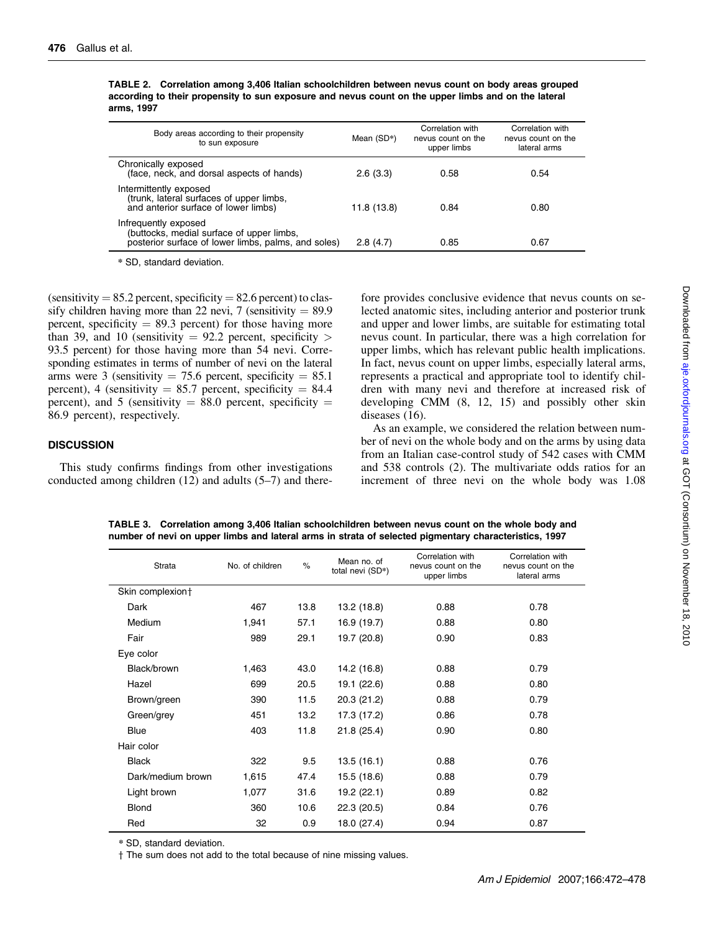| Body areas according to their propensity<br>to sun exposure                                                              | Mean (SD*)  | Correlation with<br>nevus count on the<br>upper limbs | Correlation with<br>nevus count on the<br>lateral arms |
|--------------------------------------------------------------------------------------------------------------------------|-------------|-------------------------------------------------------|--------------------------------------------------------|
| Chronically exposed<br>(face, neck, and dorsal aspects of hands)                                                         | 2.6(3.3)    | 0.58                                                  | 0.54                                                   |
| Intermittently exposed<br>(trunk, lateral surfaces of upper limbs,<br>and anterior surface of lower limbs)               | 11.8 (13.8) | 0.84                                                  | 0.80                                                   |
| Infrequently exposed<br>(buttocks, medial surface of upper limbs,<br>posterior surface of lower limbs, palms, and soles) | 2.8(4.7)    | 0.85                                                  | 0.67                                                   |

TABLE 2. Correlation among 3,406 Italian schoolchildren between nevus count on body areas grouped according to their propensity to sun exposure and nevus count on the upper limbs and on the lateral arms, 1997

\* SD, standard deviation.

(sensitivity  $= 85.2$  percent, specificity  $= 82.6$  percent) to classify children having more than 22 nevi, 7 (sensitivity  $= 89.9$ ) percent, specificity  $= 89.3$  percent) for those having more than 39, and 10 (sensitivity  $= 92.2$  percent, specificity  $>$ 93.5 percent) for those having more than 54 nevi. Corresponding estimates in terms of number of nevi on the lateral arms were 3 (sensitivity  $= 75.6$  percent, specificity  $= 85.1$ percent), 4 (sensitivity  $= 85.7$  percent, specificity  $= 84.4$ percent), and 5 (sensitivity  $= 88.0$  percent, specificity  $=$ 86.9 percent), respectively.

#### **DISCUSSION**

This study confirms findings from other investigations conducted among children (12) and adults (5–7) and therefore provides conclusive evidence that nevus counts on selected anatomic sites, including anterior and posterior trunk and upper and lower limbs, are suitable for estimating total nevus count. In particular, there was a high correlation for upper limbs, which has relevant public health implications. In fact, nevus count on upper limbs, especially lateral arms, represents a practical and appropriate tool to identify children with many nevi and therefore at increased risk of developing CMM (8, 12, 15) and possibly other skin diseases (16).

As an example, we considered the relation between number of nevi on the whole body and on the arms by using data from an Italian case-control study of 542 cases with CMM and 538 controls (2). The multivariate odds ratios for an increment of three nevi on the whole body was 1.08

| <b>Strata</b>     | No. of children | $\%$ | Mean no. of<br>total nevi (SD*) | Correlation with<br>nevus count on the<br>upper limbs | Correlation with<br>nevus count on the<br>lateral arms |
|-------------------|-----------------|------|---------------------------------|-------------------------------------------------------|--------------------------------------------------------|
| Skin complexion+  |                 |      |                                 |                                                       |                                                        |
| Dark              | 467             | 13.8 | 13.2 (18.8)                     | 0.88                                                  | 0.78                                                   |
| Medium            | 1,941           | 57.1 | 16.9 (19.7)                     | 0.88                                                  | 0.80                                                   |
| Fair              | 989             | 29.1 | 19.7 (20.8)                     | 0.90                                                  | 0.83                                                   |
| Eye color         |                 |      |                                 |                                                       |                                                        |
| Black/brown       | 1,463           | 43.0 | 14.2 (16.8)                     | 0.88                                                  | 0.79                                                   |
| Hazel             | 699             | 20.5 | 19.1 (22.6)                     | 0.88                                                  | 0.80                                                   |
| Brown/green       | 390             | 11.5 | 20.3 (21.2)                     | 0.88                                                  | 0.79                                                   |
| Green/grey        | 451             | 13.2 | 17.3 (17.2)                     | 0.86                                                  | 0.78                                                   |
| <b>Blue</b>       | 403             | 11.8 | 21.8 (25.4)                     | 0.90                                                  | 0.80                                                   |
| Hair color        |                 |      |                                 |                                                       |                                                        |
| <b>Black</b>      | 322             | 9.5  | 13.5 (16.1)                     | 0.88                                                  | 0.76                                                   |
| Dark/medium brown | 1,615           | 47.4 | 15.5 (18.6)                     | 0.88                                                  | 0.79                                                   |
| Light brown       | 1,077           | 31.6 | 19.2 (22.1)                     | 0.89                                                  | 0.82                                                   |
| <b>Blond</b>      | 360             | 10.6 | 22.3 (20.5)                     | 0.84                                                  | 0.76                                                   |
| Red               | 32              | 0.9  | 18.0 (27.4)                     | 0.94                                                  | 0.87                                                   |

TABLE 3. Correlation among 3,406 Italian schoolchildren between nevus count on the whole body and number of nevi on upper limbs and lateral arms in strata of selected pigmentary characteristics, 1997

\* SD, standard deviation.

 $\dagger$  The sum does not add to the total because of nine missing values.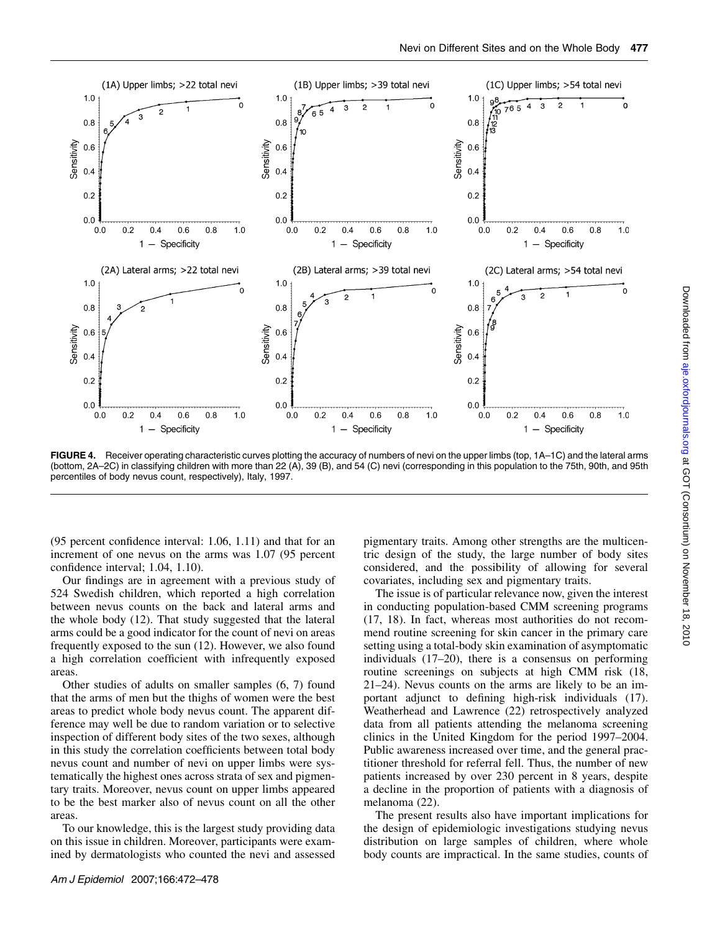

FIGURE 4. Receiver operating characteristic curves plotting the accuracy of numbers of nevi on the upper limbs (top, 1A–1C) and the lateral arms (bottom, 2A–2C) in classifying children with more than 22 (A), 39 (B), and 54 (C) nevi (corresponding in this population to the 75th, 90th, and 95th percentiles of body nevus count, respectively), Italy, 1997.

(95 percent confidence interval: 1.06, 1.11) and that for an increment of one nevus on the arms was 1.07 (95 percent confidence interval; 1.04, 1.10).

Our findings are in agreement with a previous study of 524 Swedish children, which reported a high correlation between nevus counts on the back and lateral arms and the whole body (12). That study suggested that the lateral arms could be a good indicator for the count of nevi on areas frequently exposed to the sun (12). However, we also found a high correlation coefficient with infrequently exposed areas.

Other studies of adults on smaller samples (6, 7) found that the arms of men but the thighs of women were the best areas to predict whole body nevus count. The apparent difference may well be due to random variation or to selective inspection of different body sites of the two sexes, although in this study the correlation coefficients between total body nevus count and number of nevi on upper limbs were systematically the highest ones across strata of sex and pigmentary traits. Moreover, nevus count on upper limbs appeared to be the best marker also of nevus count on all the other areas.

To our knowledge, this is the largest study providing data on this issue in children. Moreover, participants were examined by dermatologists who counted the nevi and assessed

Am J Epidemiol 2007;166:472–478

pigmentary traits. Among other strengths are the multicentric design of the study, the large number of body sites considered, and the possibility of allowing for several covariates, including sex and pigmentary traits.

The issue is of particular relevance now, given the interest in conducting population-based CMM screening programs (17, 18). In fact, whereas most authorities do not recommend routine screening for skin cancer in the primary care setting using a total-body skin examination of asymptomatic individuals (17–20), there is a consensus on performing routine screenings on subjects at high CMM risk (18, 21–24). Nevus counts on the arms are likely to be an important adjunct to defining high-risk individuals (17). Weatherhead and Lawrence (22) retrospectively analyzed data from all patients attending the melanoma screening clinics in the United Kingdom for the period 1997–2004. Public awareness increased over time, and the general practitioner threshold for referral fell. Thus, the number of new patients increased by over 230 percent in 8 years, despite a decline in the proportion of patients with a diagnosis of melanoma (22).

The present results also have important implications for the design of epidemiologic investigations studying nevus distribution on large samples of children, where whole body counts are impractical. In the same studies, counts of